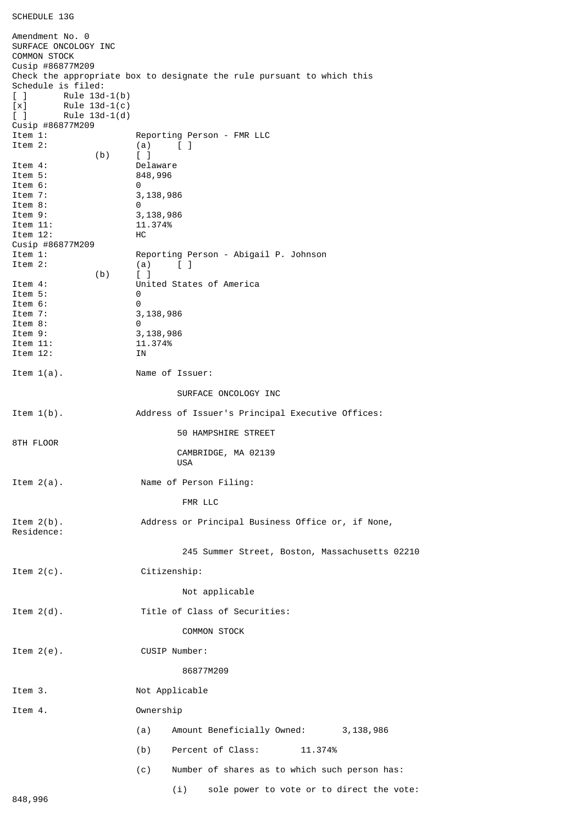```
SCHEDULE 13G
```
Amendment No. 0 SURFACE ONCOLOGY INC COMMON STOCK Cusip #86877M209 Check the appropriate box to designate the rule pursuant to which this Schedule is filed: [ ] Rule 13d-1(b) [x] Rule 13d-1(c)<br>[ ] Rule 13d-1(d)  $Rule 13d-1(d)$ Cusip #86877M209 Reporting Person - FMR LLC Item 2:  $(a)$   $\begin{bmatrix} 1 \end{bmatrix}$ (b)  $\begin{bmatrix} 1 \end{bmatrix}$ <br>Item 4: Item 4: Delaware<br>Item 5: 848,996 848,996 Item 6: 0<br>Item 7: 3 3,138,986 Item 8: 0<br>Item 9: 3 3,138,986 Item 11: 11.374%<br>Item 12: HC Item  $12$ : Cusip #86877M209 Item 1: Reporting Person - Abigail P. Johnson Item 2:  $(a)$   $[\begin{array}{ccc} 1 \end{array}]$  $(b)$  [ ] Item 4: United States of America<br>Item 5: 0 Item 5: Item 6: 0<br>Item 7: 3 3,138,986 Item 8: 0 Item 9: 3,138,986<br>Item 11: 11.374% Item 11: Item 12: IN Item 1(a). Name of Issuer: SURFACE ONCOLOGY INC Item 1(b). Address of Issuer's Principal Executive Offices: 50 HAMPSHIRE STREET 8TH FLOOR CAMBRIDGE, MA 02139 USA Item 2(a). Name of Person Filing: FMR LLC Item 2(b). Address or Principal Business Office or, if None, Residence: 245 Summer Street, Boston, Massachusetts 02210 Item 2(c). Citizenship: Not applicable Item 2(d). Title of Class of Securities: COMMON STOCK Item 2(e). CUSIP Number: 86877M209 Item 3. Not Applicable Item 4. Ownership (a) Amount Beneficially Owned: 3,138,986 (b) Percent of Class: 11.374% (c) Number of shares as to which such person has: (i) sole power to vote or to direct the vote: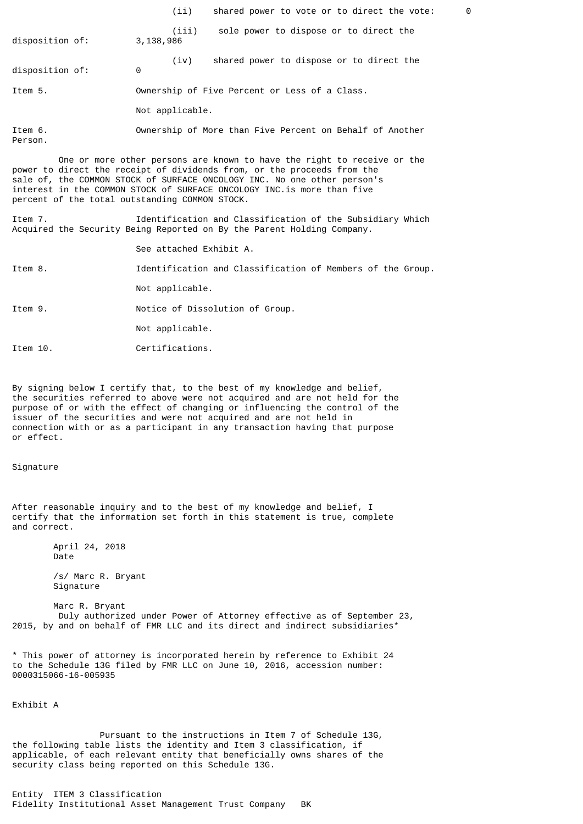|                    | shared power to vote or to direct the vote:<br>(iii)         | 0 |
|--------------------|--------------------------------------------------------------|---|
| disposition of:    | sole power to dispose or to direct the<br>(iii)<br>3,138,986 |   |
| disposition of:    | shared power to dispose or to direct the<br>(iv)<br>0        |   |
| Item 5.            | Ownership of Five Percent or Less of a Class.                |   |
|                    | Not applicable.                                              |   |
| Item 6.<br>Person. | Ownership of More than Five Percent on Behalf of Another     |   |

 One or more other persons are known to have the right to receive or the power to direct the receipt of dividends from, or the proceeds from the sale of, the COMMON STOCK of SURFACE ONCOLOGY INC. No one other person's interest in the COMMON STOCK of SURFACE ONCOLOGY INC.is more than five percent of the total outstanding COMMON STOCK.

Item 7. Identification and Classification of the Subsidiary Which Acquired the Security Being Reported on By the Parent Holding Company.

See attached Exhibit A.

Item 8. Identification and Classification of Members of the Group.

Not applicable.

Item 9. Notice of Dissolution of Group.

Not applicable.

Item 10. Certifications.

By signing below I certify that, to the best of my knowledge and belief, the securities referred to above were not acquired and are not held for the purpose of or with the effect of changing or influencing the control of the issuer of the securities and were not acquired and are not held in connection with or as a participant in any transaction having that purpose or effect.

Signature

After reasonable inquiry and to the best of my knowledge and belief, I certify that the information set forth in this statement is true, complete and correct.

> April 24, 2018 Date /s/ Marc R. Bryant

Signature

 Marc R. Bryant Duly authorized under Power of Attorney effective as of September 23, 2015, by and on behalf of FMR LLC and its direct and indirect subsidiaries\*

\* This power of attorney is incorporated herein by reference to Exhibit 24 to the Schedule 13G filed by FMR LLC on June 10, 2016, accession number: 0000315066-16-005935

Exhibit A

 Pursuant to the instructions in Item 7 of Schedule 13G, the following table lists the identity and Item 3 classification, if applicable, of each relevant entity that beneficially owns shares of the security class being reported on this Schedule 13G.